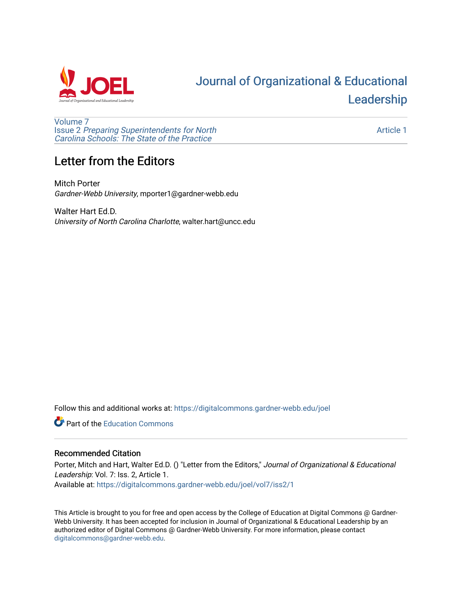

# [Journal of Organizational & Educational](https://digitalcommons.gardner-webb.edu/joel)  [Leadership](https://digitalcommons.gardner-webb.edu/joel)

[Volume 7](https://digitalcommons.gardner-webb.edu/joel/vol7) Issue 2 [Preparing Superintendents for North](https://digitalcommons.gardner-webb.edu/joel/vol7/iss2)  [Carolina Schools: The State of the Practice](https://digitalcommons.gardner-webb.edu/joel/vol7/iss2)

[Article 1](https://digitalcommons.gardner-webb.edu/joel/vol7/iss2/1) 

# Letter from the Editors

Mitch Porter Gardner-Webb University, mporter1@gardner-webb.edu

Walter Hart Ed.D. University of North Carolina Charlotte, walter.hart@uncc.edu

Follow this and additional works at: [https://digitalcommons.gardner-webb.edu/joel](https://digitalcommons.gardner-webb.edu/joel?utm_source=digitalcommons.gardner-webb.edu%2Fjoel%2Fvol7%2Fiss2%2F1&utm_medium=PDF&utm_campaign=PDFCoverPages) 

**C** Part of the [Education Commons](http://network.bepress.com/hgg/discipline/784?utm_source=digitalcommons.gardner-webb.edu%2Fjoel%2Fvol7%2Fiss2%2F1&utm_medium=PDF&utm_campaign=PDFCoverPages)

## Recommended Citation

Porter, Mitch and Hart, Walter Ed.D. () "Letter from the Editors," Journal of Organizational & Educational Leadership: Vol. 7: Iss. 2, Article 1. Available at: [https://digitalcommons.gardner-webb.edu/joel/vol7/iss2/1](https://digitalcommons.gardner-webb.edu/joel/vol7/iss2/1?utm_source=digitalcommons.gardner-webb.edu%2Fjoel%2Fvol7%2Fiss2%2F1&utm_medium=PDF&utm_campaign=PDFCoverPages)

This Article is brought to you for free and open access by the College of Education at Digital Commons @ Gardner-Webb University. It has been accepted for inclusion in Journal of Organizational & Educational Leadership by an authorized editor of Digital Commons @ Gardner-Webb University. For more information, please contact [digitalcommons@gardner-webb.edu](mailto:digitalcommons@gardner-webb.edu).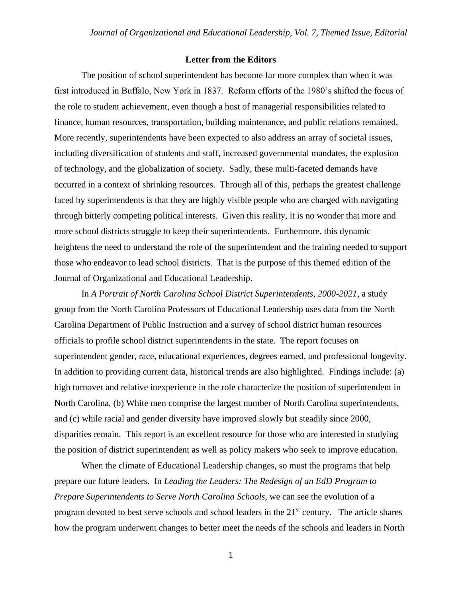#### **Letter from the Editors**

The position of school superintendent has become far more complex than when it was first introduced in Buffalo, New York in 1837. Reform efforts of the 1980's shifted the focus of the role to student achievement, even though a host of managerial responsibilities related to finance, human resources, transportation, building maintenance, and public relations remained. More recently, superintendents have been expected to also address an array of societal issues, including diversification of students and staff, increased governmental mandates, the explosion of technology, and the globalization of society. Sadly, these multi-faceted demands have occurred in a context of shrinking resources. Through all of this, perhaps the greatest challenge faced by superintendents is that they are highly visible people who are charged with navigating through bitterly competing political interests. Given this reality, it is no wonder that more and more school districts struggle to keep their superintendents. Furthermore, this dynamic heightens the need to understand the role of the superintendent and the training needed to support those who endeavor to lead school districts. That is the purpose of this themed edition of the Journal of Organizational and Educational Leadership.

In *A Portrait of North Carolina School District Superintendents, 2000-2021*, a study group from the North Carolina Professors of Educational Leadership uses data from the North Carolina Department of Public Instruction and a survey of school district human resources officials to profile school district superintendents in the state. The report focuses on superintendent gender, race, educational experiences, degrees earned, and professional longevity. In addition to providing current data, historical trends are also highlighted. Findings include: (a) high turnover and relative inexperience in the role characterize the position of superintendent in North Carolina, (b) White men comprise the largest number of North Carolina superintendents, and (c) while racial and gender diversity have improved slowly but steadily since 2000, disparities remain. This report is an excellent resource for those who are interested in studying the position of district superintendent as well as policy makers who seek to improve education.

When the climate of Educational Leadership changes, so must the programs that help prepare our future leaders. In *Leading the Leaders: The Redesign of an EdD Program to Prepare Superintendents to Serve North Carolina Schools*, we can see the evolution of a program devoted to best serve schools and school leaders in the  $21<sup>st</sup>$  century. The article shares how the program underwent changes to better meet the needs of the schools and leaders in North

1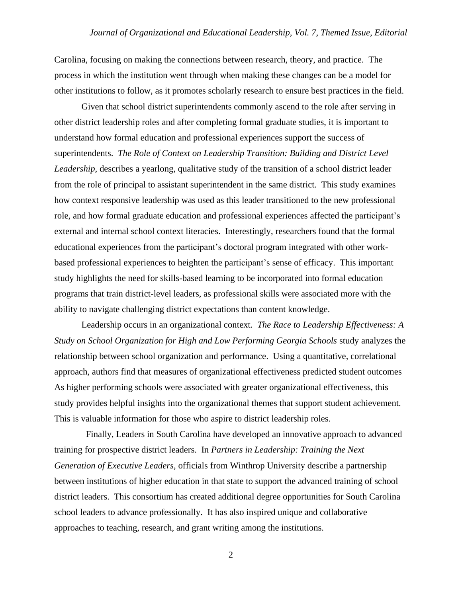Carolina, focusing on making the connections between research, theory, and practice. The process in which the institution went through when making these changes can be a model for other institutions to follow, as it promotes scholarly research to ensure best practices in the field.

Given that school district superintendents commonly ascend to the role after serving in other district leadership roles and after completing formal graduate studies, it is important to understand how formal education and professional experiences support the success of superintendents. *The Role of Context on Leadership Transition: Building and District Level Leadership*, describes a yearlong, qualitative study of the transition of a school district leader from the role of principal to assistant superintendent in the same district. This study examines how context responsive leadership was used as this leader transitioned to the new professional role, and how formal graduate education and professional experiences affected the participant's external and internal school context literacies. Interestingly, researchers found that the formal educational experiences from the participant's doctoral program integrated with other workbased professional experiences to heighten the participant's sense of efficacy. This important study highlights the need for skills-based learning to be incorporated into formal education programs that train district-level leaders, as professional skills were associated more with the ability to navigate challenging district expectations than content knowledge.

Leadership occurs in an organizational context. *The Race to Leadership Effectiveness: A Study on School Organization for High and Low Performing Georgia Schools* study analyzes the relationship between school organization and performance. Using a quantitative, correlational approach, authors find that measures of organizational effectiveness predicted student outcomes As higher performing schools were associated with greater organizational effectiveness, this study provides helpful insights into the organizational themes that support student achievement. This is valuable information for those who aspire to district leadership roles.

 Finally, Leaders in South Carolina have developed an innovative approach to advanced training for prospective district leaders. In *Partners in Leadership: Training the Next Generation of Executive Leaders,* officials from Winthrop University describe a partnership between institutions of higher education in that state to support the advanced training of school district leaders. This consortium has created additional degree opportunities for South Carolina school leaders to advance professionally. It has also inspired unique and collaborative approaches to teaching, research, and grant writing among the institutions.

2